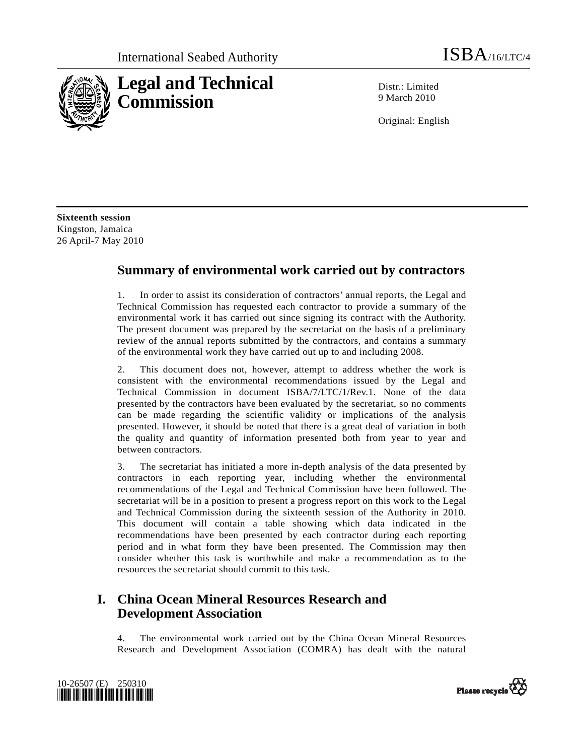

Distr · Limited 9 March 2010

Original: English

**Sixteenth session**  Kingston, Jamaica 26 April-7 May 2010

### **Summary of environmental work carried out by contractors**

1. In order to assist its consideration of contractors' annual reports, the Legal and Technical Commission has requested each contractor to provide a summary of the environmental work it has carried out since signing its contract with the Authority. The present document was prepared by the secretariat on the basis of a preliminary review of the annual reports submitted by the contractors, and contains a summary of the environmental work they have carried out up to and including 2008.

2. This document does not, however, attempt to address whether the work is consistent with the environmental recommendations issued by the Legal and Technical Commission in document ISBA/7/LTC/1/Rev.1. None of the data presented by the contractors have been evaluated by the secretariat, so no comments can be made regarding the scientific validity or implications of the analysis presented. However, it should be noted that there is a great deal of variation in both the quality and quantity of information presented both from year to year and between contractors.

3. The secretariat has initiated a more in-depth analysis of the data presented by contractors in each reporting year, including whether the environmental recommendations of the Legal and Technical Commission have been followed. The secretariat will be in a position to present a progress report on this work to the Legal and Technical Commission during the sixteenth session of the Authority in 2010. This document will contain a table showing which data indicated in the recommendations have been presented by each contractor during each reporting period and in what form they have been presented. The Commission may then consider whether this task is worthwhile and make a recommendation as to the resources the secretariat should commit to this task.

# **I. China Ocean Mineral Resources Research and Development Association**

4. The environmental work carried out by the China Ocean Mineral Resources Research and Development Association (COMRA) has dealt with the natural



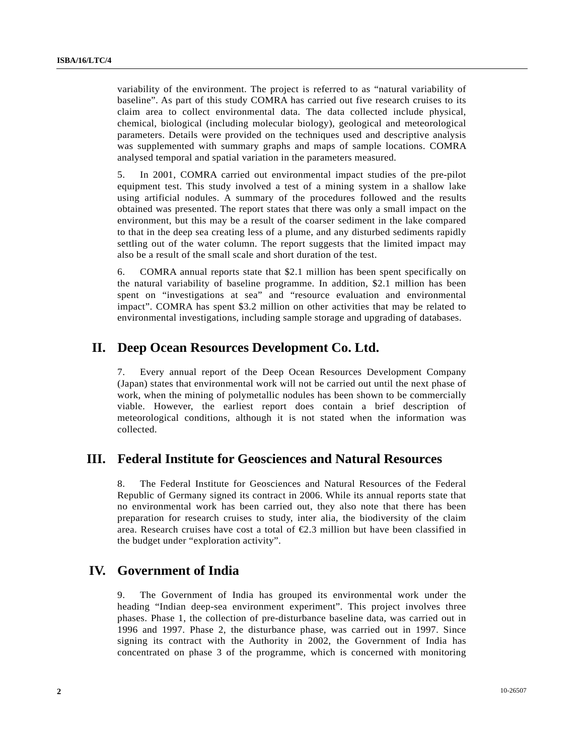variability of the environment. The project is referred to as "natural variability of baseline". As part of this study COMRA has carried out five research cruises to its claim area to collect environmental data. The data collected include physical, chemical, biological (including molecular biology), geological and meteorological parameters. Details were provided on the techniques used and descriptive analysis was supplemented with summary graphs and maps of sample locations. COMRA analysed temporal and spatial variation in the parameters measured.

5. In 2001, COMRA carried out environmental impact studies of the pre-pilot equipment test. This study involved a test of a mining system in a shallow lake using artificial nodules. A summary of the procedures followed and the results obtained was presented. The report states that there was only a small impact on the environment, but this may be a result of the coarser sediment in the lake compared to that in the deep sea creating less of a plume, and any disturbed sediments rapidly settling out of the water column. The report suggests that the limited impact may also be a result of the small scale and short duration of the test.

6. COMRA annual reports state that \$2.1 million has been spent specifically on the natural variability of baseline programme. In addition, \$2.1 million has been spent on "investigations at sea" and "resource evaluation and environmental impact". COMRA has spent \$3.2 million on other activities that may be related to environmental investigations, including sample storage and upgrading of databases.

### **II. Deep Ocean Resources Development Co. Ltd.**

7. Every annual report of the Deep Ocean Resources Development Company (Japan) states that environmental work will not be carried out until the next phase of work, when the mining of polymetallic nodules has been shown to be commercially viable. However, the earliest report does contain a brief description of meteorological conditions, although it is not stated when the information was collected.

### **III. Federal Institute for Geosciences and Natural Resources**

8. The Federal Institute for Geosciences and Natural Resources of the Federal Republic of Germany signed its contract in 2006. While its annual reports state that no environmental work has been carried out, they also note that there has been preparation for research cruises to study, inter alia, the biodiversity of the claim area. Research cruises have cost a total of €2.3 million but have been classified in the budget under "exploration activity".

## **IV. Government of India**

9. The Government of India has grouped its environmental work under the heading "Indian deep-sea environment experiment". This project involves three phases. Phase 1, the collection of pre-disturbance baseline data, was carried out in 1996 and 1997. Phase 2, the disturbance phase, was carried out in 1997. Since signing its contract with the Authority in 2002, the Government of India has concentrated on phase 3 of the programme, which is concerned with monitoring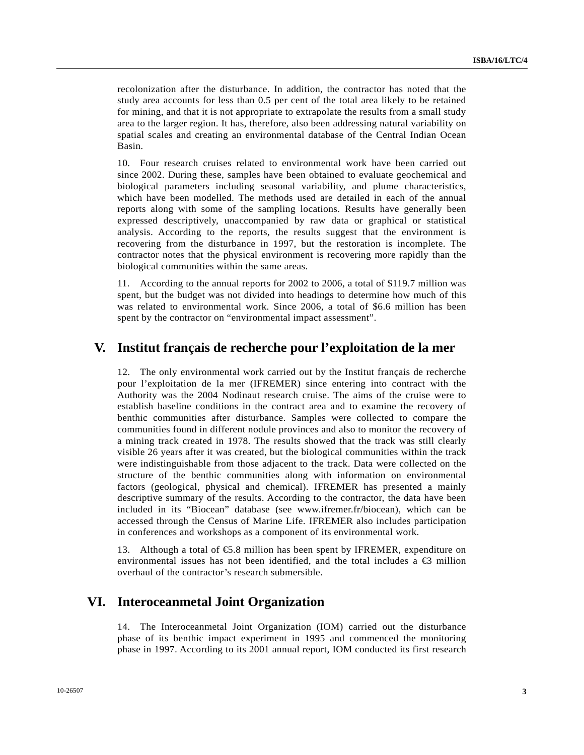recolonization after the disturbance. In addition, the contractor has noted that the study area accounts for less than 0.5 per cent of the total area likely to be retained for mining, and that it is not appropriate to extrapolate the results from a small study area to the larger region. It has, therefore, also been addressing natural variability on spatial scales and creating an environmental database of the Central Indian Ocean Basin.

10. Four research cruises related to environmental work have been carried out since 2002. During these, samples have been obtained to evaluate geochemical and biological parameters including seasonal variability, and plume characteristics, which have been modelled. The methods used are detailed in each of the annual reports along with some of the sampling locations. Results have generally been expressed descriptively, unaccompanied by raw data or graphical or statistical analysis. According to the reports, the results suggest that the environment is recovering from the disturbance in 1997, but the restoration is incomplete. The contractor notes that the physical environment is recovering more rapidly than the biological communities within the same areas.

11. According to the annual reports for 2002 to 2006, a total of \$119.7 million was spent, but the budget was not divided into headings to determine how much of this was related to environmental work. Since 2006, a total of \$6.6 million has been spent by the contractor on "environmental impact assessment".

#### **V. Institut français de recherche pour l'exploitation de la mer**

12. The only environmental work carried out by the Institut français de recherche pour l'exploitation de la mer (IFREMER) since entering into contract with the Authority was the 2004 Nodinaut research cruise. The aims of the cruise were to establish baseline conditions in the contract area and to examine the recovery of benthic communities after disturbance. Samples were collected to compare the communities found in different nodule provinces and also to monitor the recovery of a mining track created in 1978. The results showed that the track was still clearly visible 26 years after it was created, but the biological communities within the track were indistinguishable from those adjacent to the track. Data were collected on the structure of the benthic communities along with information on environmental factors (geological, physical and chemical). IFREMER has presented a mainly descriptive summary of the results. According to the contractor, the data have been included in its "Biocean" database (see www.ifremer.fr/biocean), which can be accessed through the Census of Marine Life. IFREMER also includes participation in conferences and workshops as a component of its environmental work.

13. Although a total of  $\epsilon$ 5.8 million has been spent by IFREMER, expenditure on environmental issues has not been identified, and the total includes a  $\epsilon$  million overhaul of the contractor's research submersible.

### **VI. Interoceanmetal Joint Organization**

14. The Interoceanmetal Joint Organization (IOM) carried out the disturbance phase of its benthic impact experiment in 1995 and commenced the monitoring phase in 1997. According to its 2001 annual report, IOM conducted its first research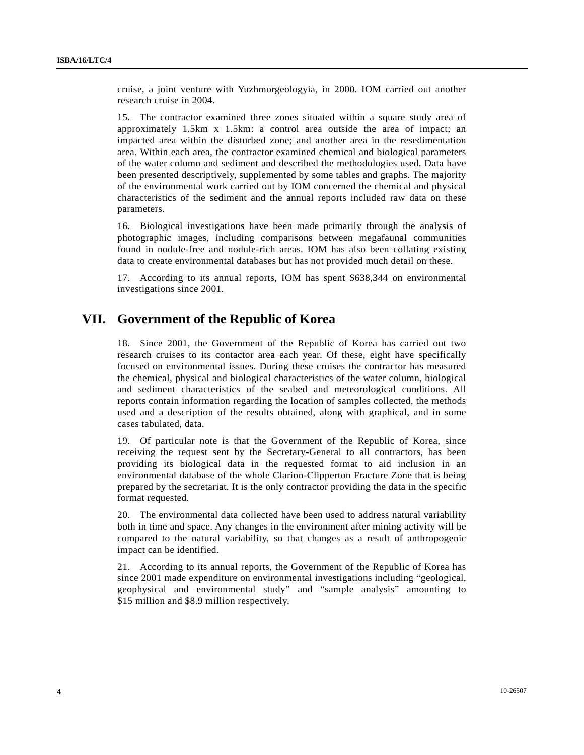cruise, a joint venture with Yuzhmorgeologyia, in 2000. IOM carried out another research cruise in 2004.

15. The contractor examined three zones situated within a square study area of approximately 1.5km x 1.5km: a control area outside the area of impact; an impacted area within the disturbed zone; and another area in the resedimentation area. Within each area, the contractor examined chemical and biological parameters of the water column and sediment and described the methodologies used. Data have been presented descriptively, supplemented by some tables and graphs. The majority of the environmental work carried out by IOM concerned the chemical and physical characteristics of the sediment and the annual reports included raw data on these parameters.

16. Biological investigations have been made primarily through the analysis of photographic images, including comparisons between megafaunal communities found in nodule-free and nodule-rich areas. IOM has also been collating existing data to create environmental databases but has not provided much detail on these.

17. According to its annual reports, IOM has spent \$638,344 on environmental investigations since 2001.

## **VII. Government of the Republic of Korea**

18. Since 2001, the Government of the Republic of Korea has carried out two research cruises to its contactor area each year. Of these, eight have specifically focused on environmental issues. During these cruises the contractor has measured the chemical, physical and biological characteristics of the water column, biological and sediment characteristics of the seabed and meteorological conditions. All reports contain information regarding the location of samples collected, the methods used and a description of the results obtained, along with graphical, and in some cases tabulated, data.

19. Of particular note is that the Government of the Republic of Korea, since receiving the request sent by the Secretary-General to all contractors, has been providing its biological data in the requested format to aid inclusion in an environmental database of the whole Clarion-Clipperton Fracture Zone that is being prepared by the secretariat. It is the only contractor providing the data in the specific format requested.

20. The environmental data collected have been used to address natural variability both in time and space. Any changes in the environment after mining activity will be compared to the natural variability, so that changes as a result of anthropogenic impact can be identified.

21. According to its annual reports, the Government of the Republic of Korea has since 2001 made expenditure on environmental investigations including "geological, geophysical and environmental study" and "sample analysis" amounting to \$15 million and \$8.9 million respectively.